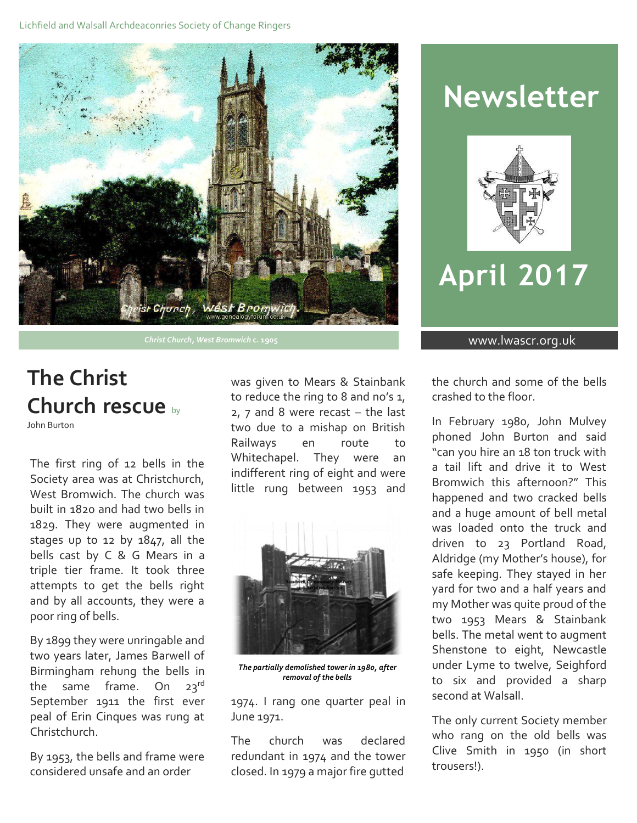

**Christ Church, West Bromwich c. 1905** www.lwascr.org.uk

# **The Christ Church rescue** by

John Burton

The first ring of 12 bells in the Society area was at Christchurch, West Bromwich. The church was built in 1820 and had two bells in 1829. They were augmented in stages up to 12 by 1847, all the bells cast by C & G Mears in a triple tier frame. It took three attempts to get the bells right and by all accounts, they were a poor ring of bells.

By 1899 they were unringable and two years later, James Barwell of Birmingham rehung the bells in the same frame. On  $23^{rd}$ September 1911 the first ever peal of Erin Cinques was rung at Christchurch.

By 1953, the bells and frame were considered unsafe and an order

was given to Mears & Stainbank to reduce the ring to 8 and no's 1, 2, 7 and 8 were recast – the last two due to a mishap on British Railways en route to Whitechapel. They were an indifferent ring of eight and were little rung between 1953 and



*The partially demolished tower in 1980, after removal of the bells*

1974. I rang one quarter peal in June 1971.

The church was declared redundant in 1974 and the tower closed. In 1979 a major fire gutted

# **Newsletter**



# **April 2017**

the church and some of the bells crashed to the floor.

In February 1980, John Mulvey phoned John Burton and said "can you hire an 18 ton truck with a tail lift and drive it to West Bromwich this afternoon?" This happened and two cracked bells and a huge amount of bell metal was loaded onto the truck and driven to 23 Portland Road, Aldridge (my Mother's house), for safe keeping. They stayed in her yard for two and a half years and my Mother was quite proud of the two 1953 Mears & Stainbank bells. The metal went to augment Shenstone to eight, Newcastle under Lyme to twelve, Seighford to six and provided a sharp second at Walsall.

The only current Society member who rang on the old bells was Clive Smith in 1950 (in short trousers!).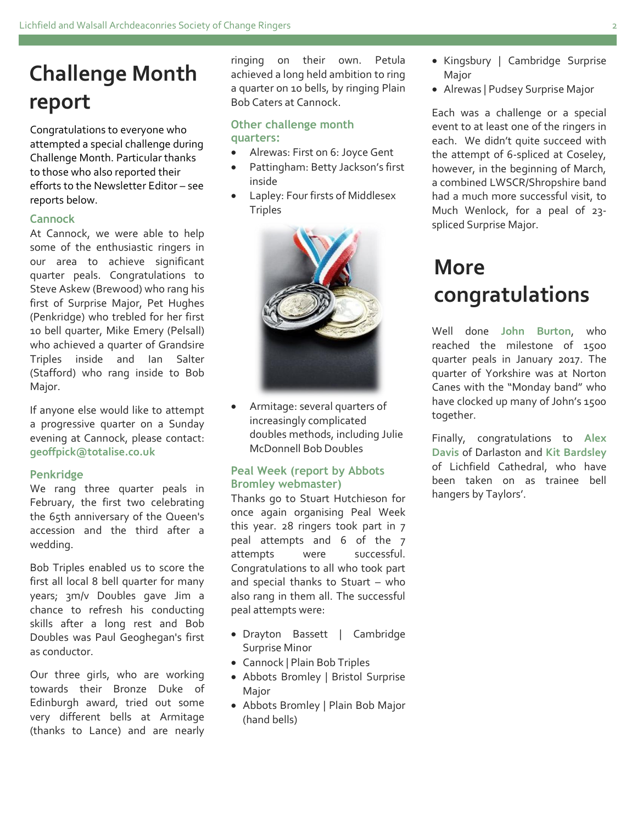# **Challenge Month report**

Congratulations to everyone who attempted a special challenge during Challenge Month. Particular thanks to those who also reported their efforts to the Newsletter Editor – see reports below.

### **Cannock**

At Cannock, we were able to help some of the enthusiastic ringers in our area to achieve significant quarter peals. Congratulations to Steve Askew (Brewood) who rang his first of Surprise Major, Pet Hughes (Penkridge) who trebled for her first 10 bell quarter, Mike Emery (Pelsall) who achieved a quarter of Grandsire Triples inside and Ian Salter (Stafford) who rang inside to Bob Major.

If anyone else would like to attempt a progressive quarter on a Sunday evening at Cannock, please contact: **geoffpick@totalise.co.uk**

#### **Penkridge**

We rang three quarter peals in February, the first two celebrating the 65th anniversary of the Queen's accession and the third after a wedding.

Bob Triples enabled us to score the first all local 8 bell quarter for many years; 3m/v Doubles gave Jim a chance to refresh his conducting skills after a long rest and Bob Doubles was Paul Geoghegan's first as conductor.

Our three girls, who are working towards their Bronze Duke of Edinburgh award, tried out some very different bells at Armitage (thanks to Lance) and are nearly ringing on their own. Petula achieved a long held ambition to ring a quarter on 10 bells, by ringing Plain Bob Caters at Cannock.

#### **Other challenge month quarters:**

- Alrewas: First on 6: Joyce Gent
- Pattingham: Betty Jackson's first inside
- Lapley: Four firsts of Middlesex **Triples**



 Armitage: several quarters of increasingly complicated doubles methods, including Julie McDonnell Bob Doubles

### **Peal Week (report by Abbots Bromley webmaster)**

Thanks go to Stuart Hutchieson for once again organising Peal Week this year. 28 ringers took part in 7 peal attempts and 6 of the 7 attempts were successful. Congratulations to all who took part and special thanks to Stuart – who also rang in them all. The successful peal attempts were:

- Drayton Bassett | Cambridge Surprise Minor
- Cannock | Plain Bob Triples
- Abbots Bromley | Bristol Surprise Major
- Abbots Bromley | Plain Bob Major (hand bells)
- Kingsbury | Cambridge Surprise Major
- Alrewas | Pudsey Surprise Major

Each was a challenge or a special event to at least one of the ringers in each. We didn't quite succeed with the attempt of 6-spliced at Coseley, however, in the beginning of March, a combined LWSCR/Shropshire band had a much more successful visit, to Much Wenlock, for a peal of 23 spliced Surprise Major.

# **More congratulations**

Well done **John Burton**, who reached the milestone of 15oo quarter peals in January 2017. The quarter of Yorkshire was at Norton Canes with the "Monday band" who have clocked up many of John's 1500 together.

Finally, congratulations to **Alex Davis** of Darlaston and **Kit Bardsley** of Lichfield Cathedral, who have been taken on as trainee bell hangers by Taylors'.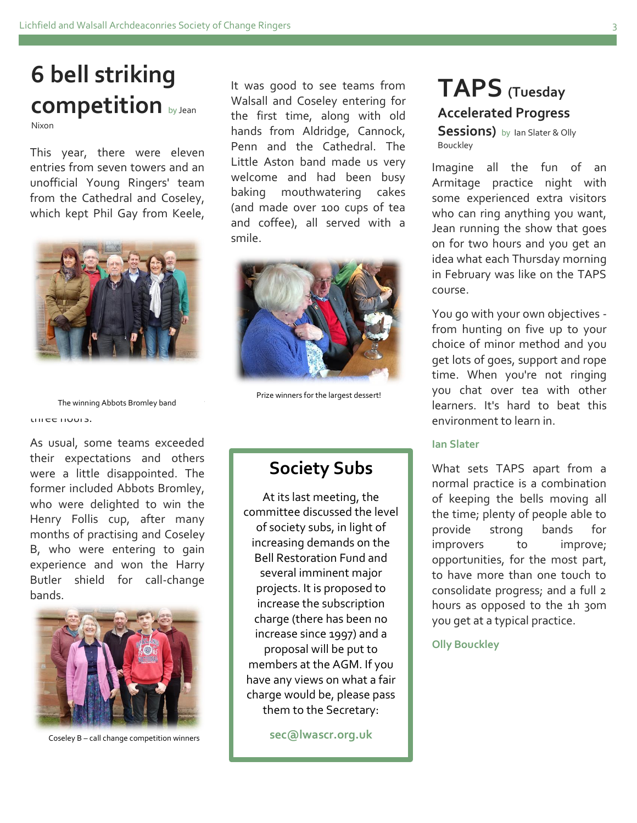## **6 bell striking competition** by Jean Nixon

entries from seven towers and an unofficial Young Ringers' team from the Cathedral and Coseley, which kept Phil Gay from Keele,



The winning Abbots Bromley band three hours.

As usual, some teams exceeded their expectations and others were a little disappointed. The former included Abbots Bromley, who were delighted to win the Henry Follis cup, after many months of practising and Coseley B, who were entering to gain experience and won the Harry Butler shield for call-change bands.



Coseley B – call change competition winners

This year, there were eleven Penn and the Cathedral. The Bouckley It was good to see teams from Walsall and Coseley entering for the first time, along with old hands from Aldridge, Cannock, Penn and the Cathedral. The Little Aston band made us very welcome and had been busy baking mouthwatering cakes (and made over 100 cups of tea and coffee), all served with a smile.



Prize winners for the largest dessert!

### **Society Subs**

 $\begin{bmatrix} 0 & 0 & 0 \\ 0 & 0 & 0 \\ 0 & 0 & 0 \end{bmatrix}$  $\begin{bmatrix} 1 & 0 \end{bmatrix}$  of society subs, in light of  $\parallel$  increasing demands on the **Hour Bell Restoration Fund and The Bell Restoration Fund and** several imminent major **projects. It is proposed to** increase the subscription charge (there has been no increase since 1997) and a  $\Box$  proposal will be put to  $\mathsf{m}$  members at the AGM. If you have any views on what a fair charge would be, please pass  $\parallel$  them to the Secretary: At its last meeting, the committee discussed the level

**sec@lwascr.org.uk**

when the statues were reinstated.

## **TAPS (Tuesday Accelerated Progress**

**Sessions)** by Ian Slater & Olly

Imagine all the fun of an Armitage practice night with some experienced extra visitors who can ring anything you want, Jean running the show that goes on for two hours and you get an idea what each Thursday morning in February was like on the TAPS course.

You go with your own objectives from hunting on five up to your choice of minor method and you get lots of goes, support and rope time. When you're not ringing you chat over tea with other learners. It's hard to beat this environment to learn in.

#### **Ian Slater**

What sets TAPS apart from a normal practice is a combination of keeping the bells moving all the time; plenty of people able to provide strong bands for improvers to improve; opportunities, for the most part, to have more than one touch to consolidate progress; and a full 2 hours as opposed to the 1h 30m you get at a typical practice.

**Olly Bouckley**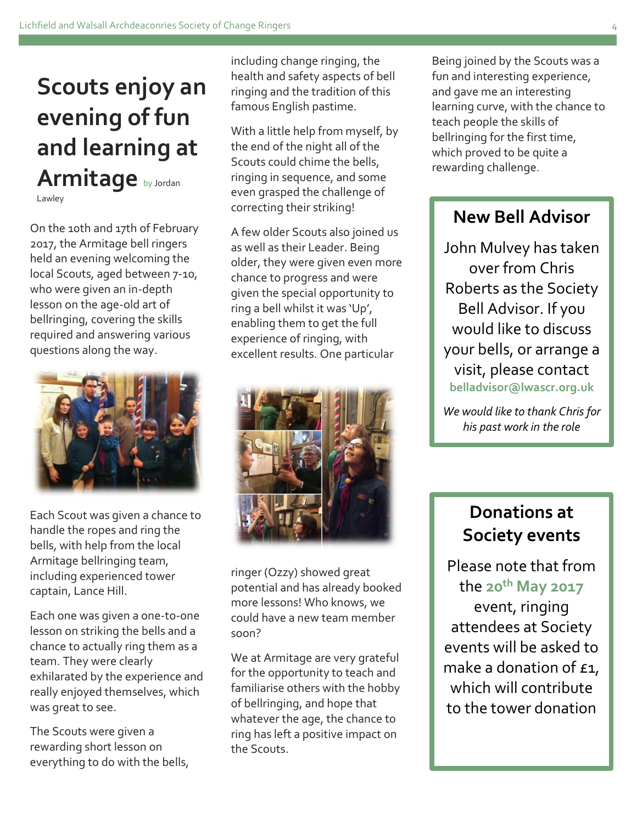# **Scouts enjoy an evening of fun and learning at Armitage** by Jordan Lawley

On the 10th and 17th of February 2017, the Armitage bell ringers held an evening welcoming the local Scouts, aged between 7-10, who were given an in-depth lesson on the age-old art of bellringing, covering the skills required and answering various questions along the way.



Each Scout was given a chance to handle the ropes and ring the bells, with help from the local Armitage bellringing team, including experienced tower captain, Lance Hill.

Each one was given a one-to-one lesson on striking the bells and a chance to actually ring them as a team. They were clearly exhilarated by the experience and really enjoyed themselves, which was great to see.

The Scouts were given a rewarding short lesson on everything to do with the bells, including change ringing, the health and safety aspects of bell ringing and the tradition of this famous English pastime.

With a little help from myself, by the end of the night all of the Scouts could chime the bells, ringing in sequence, and some even grasped the challenge of correcting their striking!

A few older Scouts also joined us as well as their Leader. Being older, they were given even more chance to progress and were given the special opportunity to ring a bell whilst it was 'Up', enabling them to get the full experience of ringing, with excellent results. One particular



ringer (Ozzy) showed great potential and has already booked more lessons! Who knows, we could have a new team member soon?

We at Armitage are very grateful for the opportunity to teach and familiarise others with the hobby of bellringing, and hope that whatever the age, the chance to ring has left a positive impact on the Scouts.

Being joined by the Scouts was a fun and interesting experience, and gave me an interesting learning curve, with the chance to teach people the skills of bellringing for the first time, which proved to be quite a rewarding challenge.

### **New Bell Advisor**

John Mulvey has taken over from Chris Roberts as the Society Bell Advisor. If you would like to discuss your bells, or arrange a visit, please contact **belladvisor@lwascr.org.uk**

*We would like to thank Chris for his past work in the role*

### **Donations at Society events**

Please note that from the **20th May 2017** event, ringing attendees at Society events will be asked to make a donation of  $f_1$ , which will contribute to the tower donation